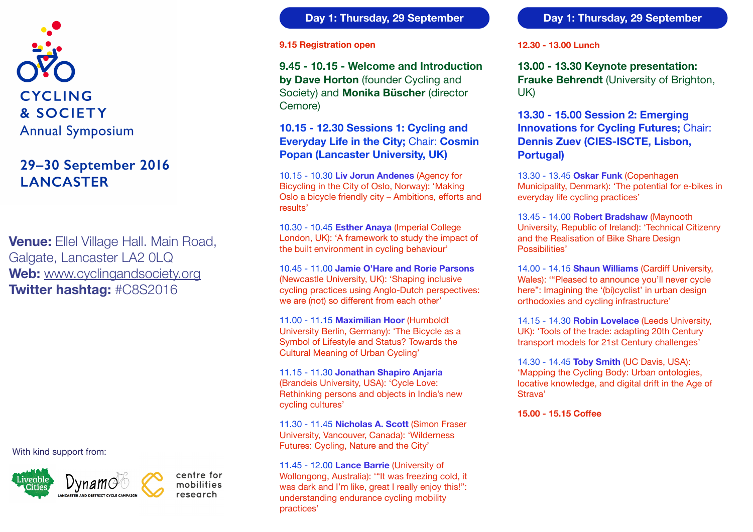

# 29-30 September 2016 **LANCASTER**

**Venue:** Ellel Village Hall. Main Road, Galgate, Lancaster LA2 0LQ **Web:** [www.cyclingandsociety.org](http://www.cyclingandsociety.org) **Twitter hashtag:** #C8S2016

With kind support from:



centre for mobilities research

**Day 1: Thursday, 29 September**

#### **9.15 Registration open**

**9.45 - 10.15 - Welcome and Introduction by Dave Horton** (founder Cycling and Society) and **Monika Büscher** (director Cemore)

## **10.15 - 12.30 Sessions 1: Cycling and Everyday Life in the City;** Chair: **Cosmin Popan (Lancaster University, UK)**

10.15 - 10.30 **Liv Jorun Andenes** (Agency for Bicycling in the City of Oslo, Norway): 'Making Oslo a bicycle friendly city – Ambitions, efforts and results'

10.30 - 10.45 **Esther Anaya** (Imperial College London, UK): 'A framework to study the impact of the built environment in cycling behaviour'

10.45 - 11.00 **Jamie O'Hare and Rorie Parsons** (Newcastle University, UK): 'Shaping inclusive cycling practices using Anglo-Dutch perspectives: we are (not) so different from each other'

11.00 - 11.15 **Maximilian Hoor** (Humboldt University Berlin, Germany): 'The Bicycle as a Symbol of Lifestyle and Status? Towards the Cultural Meaning of Urban Cycling'

11.15 - 11.30 **Jonathan Shapiro Anjaria**  (Brandeis University, USA): 'Cycle Love: Rethinking persons and objects in India's new cycling cultures'

11.30 - 11.45 **Nicholas A. Scott** (Simon Fraser University, Vancouver, Canada): 'Wilderness Futures: Cycling, Nature and the City'

11.45 - 12.00 **Lance Barrie** (University of Wollongong, Australia): '"It was freezing cold, it was dark and I'm like, great I really enjoy this!": understanding endurance cycling mobility practices'

#### **Day 1: Thursday, 29 September**

#### **12.30 - 13.00 Lunch**

**13.00 - 13.30 Keynote presentation: Frauke Behrendt** (University of Brighton, UK)

**13.30 - 15.00 Session 2: Emerging Innovations for Cycling Futures;** Chair: **Dennis Zuev (CIES-ISCTE, Lisbon, Portugal)**

13.30 - 13.45 **Oskar Funk** (Copenhagen Municipality, Denmark): 'The potential for e-bikes in everyday life cycling practices'

13.45 - 14.00 **Robert Bradshaw** (Maynooth University, Republic of Ireland): 'Technical Citizenry and the Realisation of Bike Share Design Possibilities'

14.00 - 14.15 **Shaun Williams** (Cardiff University, Wales): '"Pleased to announce you'll never cycle here": Imagining the '(bi)cyclist' in urban design orthodoxies and cycling infrastructure'

14.15 - 14.30 **Robin Lovelace** (Leeds University, UK): 'Tools of the trade: adapting 20th Century transport models for 21st Century challenges'

14.30 - 14.45 **Toby Smith** (UC Davis, USA): 'Mapping the Cycling Body: Urban ontologies, locative knowledge, and digital drift in the Age of Strava'

**15.00 - 15.15 Coffee**